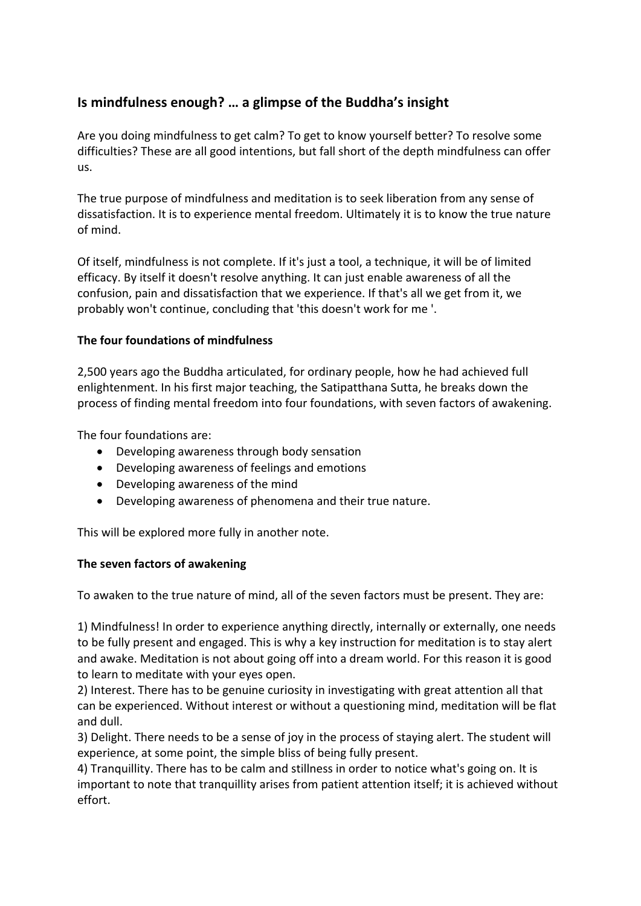# **Is mindfulness enough? … a glimpse of the Buddha's insight**

Are you doing mindfulness to get calm? To get to know yourself better? To resolve some difficulties? These are all good intentions, but fall short of the depth mindfulness can offer us.

The true purpose of mindfulness and meditation is to seek liberation from any sense of dissatisfaction. It is to experience mental freedom. Ultimately it is to know the true nature of mind.

Of itself, mindfulness is not complete. If it's just a tool, a technique, it will be of limited efficacy. By itself it doesn't resolve anything. It can just enable awareness of all the confusion, pain and dissatisfaction that we experience. If that's all we get from it, we probably won't continue, concluding that 'this doesn't work for me '.

### **The four foundations of mindfulness**

2,500 years ago the Buddha articulated, for ordinary people, how he had achieved full enlightenment. In his first major teaching, the Satipatthana Sutta, he breaks down the process of finding mental freedom into four foundations, with seven factors of awakening.

The four foundations are:

- Developing awareness through body sensation
- Developing awareness of feelings and emotions
- Developing awareness of the mind
- Developing awareness of phenomena and their true nature.

This will be explored more fully in another note.

## **The seven factors of awakening**

To awaken to the true nature of mind, all of the seven factors must be present. They are:

1) Mindfulness! In order to experience anything directly, internally or externally, one needs to be fully present and engaged. This is why a key instruction for meditation is to stay alert and awake. Meditation is not about going off into a dream world. For this reason it is good to learn to meditate with your eyes open.

2) Interest. There has to be genuine curiosity in investigating with great attention all that can be experienced. Without interest or without a questioning mind, meditation will be flat and dull.

3) Delight. There needs to be a sense of joy in the process of staying alert. The student will experience, at some point, the simple bliss of being fully present.

4) Tranquillity. There has to be calm and stillness in order to notice what's going on. It is important to note that tranquillity arises from patient attention itself; it is achieved without effort.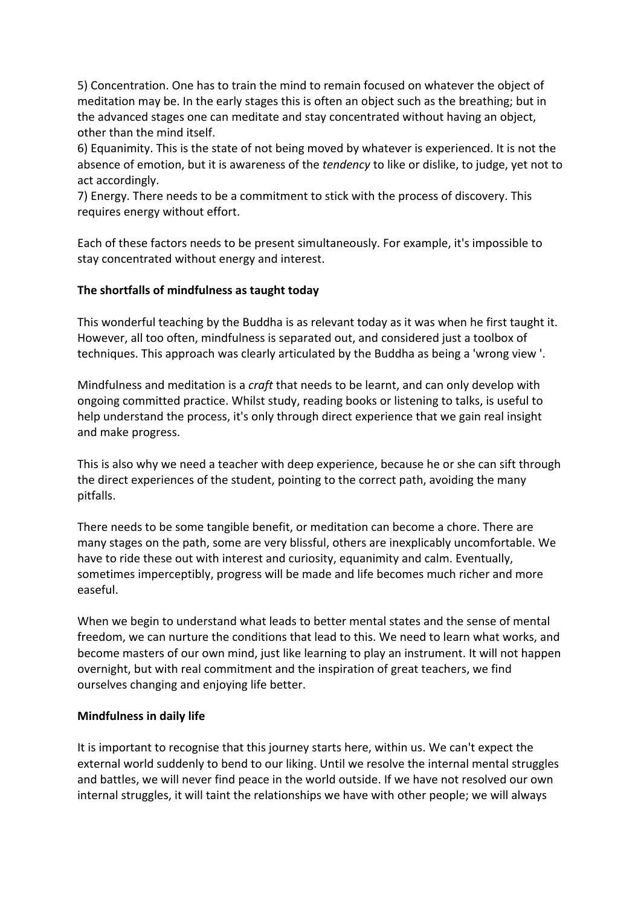5) Concentration. One has to train the mind to remain focused on whatever the object of meditation may be. In the early stages this is often an object such as the breathing; but in the advanced stages one can meditate and stay concentrated without having an object, other than the mind itself.

6) Equanimity. This is the state of not being moved by whatever is experienced. It is not the absence of emotion, but it is awareness of the *tendency* to like or dislike, to judge, yet not to act accordingly.

7) Energy. There needs to be a commitment to stick with the process of discovery. This requires energy without effort.

Each of these factors needs to be present simultaneously. For example, it's impossible to stay concentrated without energy and interest.

### **The shortfalls of mindfulness as taught today**

This wonderful teaching by the Buddha is as relevant today as it was when he first taught it. However, all too often, mindfulness is separated out, and considered just a toolbox of techniques. This approach was clearly articulated by the Buddha as being a 'wrong view '.

Mindfulness and meditation is a *craft* that needs to be learnt, and can only develop with ongoing committed practice. Whilst study, reading books or listening to talks, is useful to help understand the process, it's only through direct experience that we gain real insight and make progress.

This is also why we need a teacher with deep experience, because he or she can sift through the direct experiences of the student, pointing to the correct path, avoiding the many pitfalls.

There needs to be some tangible benefit, or meditation can become a chore. There are many stages on the path, some are very blissful, others are inexplicably uncomfortable. We have to ride these out with interest and curiosity, equanimity and calm. Eventually, sometimes imperceptibly, progress will be made and life becomes much richer and more easeful.

When we begin to understand what leads to better mental states and the sense of mental freedom, we can nurture the conditions that lead to this. We need to learn what works, and become masters of our own mind, just like learning to play an instrument. It will not happen overnight, but with real commitment and the inspiration of great teachers, we find ourselves changing and enjoying life better.

#### **Mindfulness in daily life**

It is important to recognise that this journey starts here, within us. We can't expect the external world suddenly to bend to our liking. Until we resolve the internal mental struggles and battles, we will never find peace in the world outside. If we have not resolved our own internal struggles, it will taint the relationships we have with other people; we will always